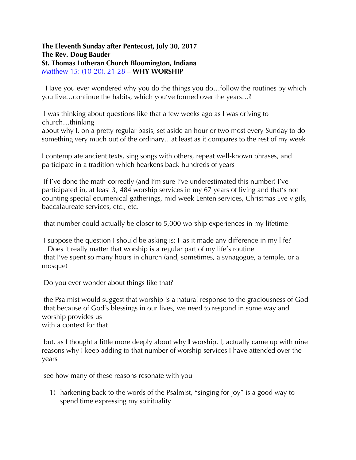## **The Eleventh Sunday after Pentecost, July 30, 2017 The Rev. Doug Bauder St. Thomas Lutheran Church Bloomington, Indiana**  Matthew 15: (10-20), 21-28 **– WHY WORSHIP**

 Have you ever wondered why you do the things you do…follow the routines by which you live…continue the habits, which you've formed over the years…?

I was thinking about questions like that a few weeks ago as I was driving to church…thinking

about why I, on a pretty regular basis, set aside an hour or two most every Sunday to do something very much out of the ordinary…at least as it compares to the rest of my week

I contemplate ancient texts, sing songs with others, repeat well-known phrases, and participate in a tradition which hearkens back hundreds of years

If I've done the math correctly (and I'm sure I've underestimated this number) I've participated in, at least 3, 484 worship services in my 67 years of living and that's not counting special ecumenical gatherings, mid-week Lenten services, Christmas Eve vigils, baccalaureate services, etc., etc.

that number could actually be closer to 5,000 worship experiences in my lifetime

I suppose the question I should be asking is: Has it made any difference in my life? Does it really matter that worship is a regular part of my life's routine that I've spent so many hours in church (and, sometimes, a synagogue, a temple, or a mosque)

Do you ever wonder about things like that?

the Psalmist would suggest that worship is a natural response to the graciousness of God that because of God's blessings in our lives, we need to respond in some way and worship provides us with a context for that

but, as I thought a little more deeply about why **I** worship, I, actually came up with nine reasons why I keep adding to that number of worship services I have attended over the years

see how many of these reasons resonate with you

1) harkening back to the words of the Psalmist, "singing for joy" is a good way to spend time expressing my spirituality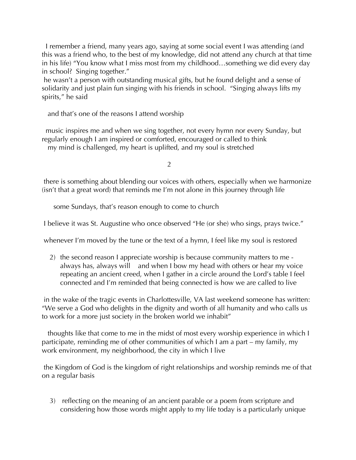I remember a friend, many years ago, saying at some social event I was attending (and this was a friend who, to the best of my knowledge, did not attend any church at that time in his life) "You know what I miss most from my childhood…something we did every day in school? Singing together."

he wasn't a person with outstanding musical gifts, but he found delight and a sense of solidarity and just plain fun singing with his friends in school. "Singing always lifts my spirits," he said

and that's one of the reasons I attend worship

 music inspires me and when we sing together, not every hymn nor every Sunday, but regularly enough I am inspired or comforted, encouraged or called to think my mind is challenged, my heart is uplifted, and my soul is stretched

2

there is something about blending our voices with others, especially when we harmonize (isn't that a great word) that reminds me I'm not alone in this journey through life

some Sundays, that's reason enough to come to church

I believe it was St. Augustine who once observed "He (or she) who sings, prays twice."

whenever I'm moved by the tune or the text of a hymn, I feel like my soul is restored

2) the second reason I appreciate worship is because community matters to me always has, always will and when I bow my head with others or hear my voice repeating an ancient creed, when I gather in a circle around the Lord's table I feel connected and I'm reminded that being connected is how we are called to live

in the wake of the tragic events in Charlottesville, VA last weekend someone has written: "We serve a God who delights in the dignity and worth of all humanity and who calls us to work for a more just society in the broken world we inhabit"

 thoughts like that come to me in the midst of most every worship experience in which I participate, reminding me of other communities of which I am a part – my family, my work environment, my neighborhood, the city in which I live

the Kingdom of God is the kingdom of right relationships and worship reminds me of that on a regular basis

3) reflecting on the meaning of an ancient parable or a poem from scripture and considering how those words might apply to my life today is a particularly unique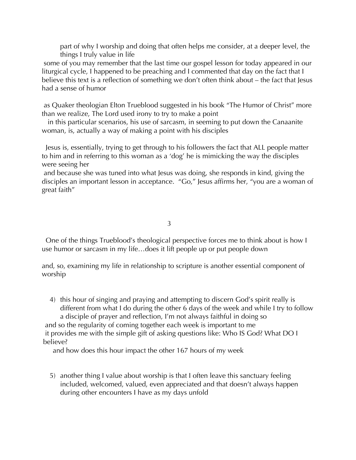part of why I worship and doing that often helps me consider, at a deeper level, the things I truly value in life

some of you may remember that the last time our gospel lesson for today appeared in our liturgical cycle, I happened to be preaching and I commented that day on the fact that I believe this text is a reflection of something we don't often think about – the fact that Jesus had a sense of humor

as Quaker theologian Elton Trueblood suggested in his book "The Humor of Christ" more than we realize, The Lord used irony to try to make a point

 in this particular scenarios, his use of sarcasm, in seeming to put down the Canaanite woman, is, actually a way of making a point with his disciples

 Jesus is, essentially, trying to get through to his followers the fact that ALL people matter to him and in referring to this woman as a 'dog' he is mimicking the way the disciples were seeing her

and because she was tuned into what Jesus was doing, she responds in kind, giving the disciples an important lesson in acceptance. "Go," Jesus affirms her, "you are a woman of great faith"

3

 One of the things Trueblood's theological perspective forces me to think about is how I use humor or sarcasm in my life…does it lift people up or put people down

and, so, examining my life in relationship to scripture is another essential component of worship

4) this hour of singing and praying and attempting to discern God's spirit really is different from what I do during the other 6 days of the week and while I try to follow a disciple of prayer and reflection, I'm not always faithful in doing so and so the regularity of coming together each week is important to me it provides me with the simple gift of asking questions like: Who IS God? What DO I believe?

and how does this hour impact the other 167 hours of my week

5) another thing I value about worship is that I often leave this sanctuary feeling included, welcomed, valued, even appreciated and that doesn't always happen during other encounters I have as my days unfold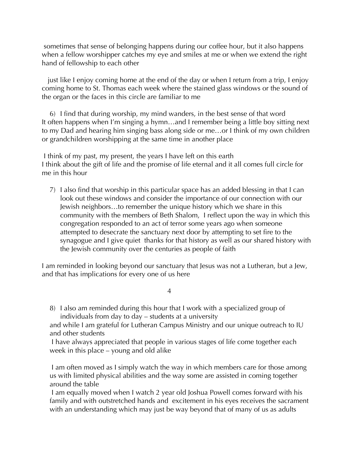sometimes that sense of belonging happens during our coffee hour, but it also happens when a fellow worshipper catches my eye and smiles at me or when we extend the right hand of fellowship to each other

 just like I enjoy coming home at the end of the day or when I return from a trip, I enjoy coming home to St. Thomas each week where the stained glass windows or the sound of the organ or the faces in this circle are familiar to me

6) I find that during worship, my mind wanders, in the best sense of that word It often happens when I'm singing a hymn…and I remember being a little boy sitting next to my Dad and hearing him singing bass along side or me…or I think of my own children or grandchildren worshipping at the same time in another place

I think of my past, my present, the years I have left on this earth I think about the gift of life and the promise of life eternal and it all comes full circle for me in this hour

7) I also find that worship in this particular space has an added blessing in that I can look out these windows and consider the importance of our connection with our Jewish neighbors…to remember the unique history which we share in this community with the members of Beth Shalom, I reflect upon the way in which this congregation responded to an act of terror some years ago when someone attempted to desecrate the sanctuary next door by attempting to set fire to the synagogue and I give quiet thanks for that history as well as our shared history with the Jewish community over the centuries as people of faith

I am reminded in looking beyond our sanctuary that Jesus was not a Lutheran, but a Jew, and that has implications for every one of us here

4

8) I also am reminded during this hour that I work with a specialized group of individuals from day to day – students at a university

and while I am grateful for Lutheran Campus Ministry and our unique outreach to IU and other students

I have always appreciated that people in various stages of life come together each week in this place – young and old alike

I am often moved as I simply watch the way in which members care for those among us with limited physical abilities and the way some are assisted in coming together around the table

I am equally moved when I watch 2 year old Joshua Powell comes forward with his family and with outstretched hands and excitement in his eyes receives the sacrament with an understanding which may just be way beyond that of many of us as adults